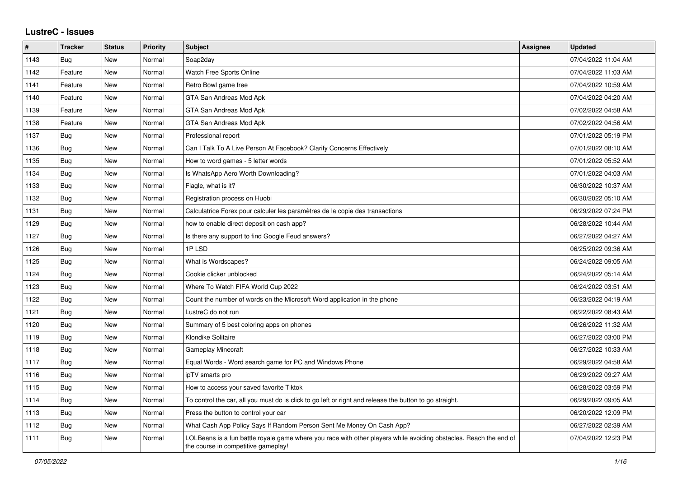## **LustreC - Issues**

| #    | <b>Tracker</b> | <b>Status</b> | Priority | <b>Subject</b>                                                                                                                                           | <b>Assignee</b> | <b>Updated</b>      |
|------|----------------|---------------|----------|----------------------------------------------------------------------------------------------------------------------------------------------------------|-----------------|---------------------|
| 1143 | Bug            | <b>New</b>    | Normal   | Soap2day                                                                                                                                                 |                 | 07/04/2022 11:04 AM |
| 1142 | Feature        | New           | Normal   | Watch Free Sports Online                                                                                                                                 |                 | 07/04/2022 11:03 AM |
| 1141 | Feature        | New           | Normal   | Retro Bowl game free                                                                                                                                     |                 | 07/04/2022 10:59 AM |
| 1140 | Feature        | New           | Normal   | GTA San Andreas Mod Apk                                                                                                                                  |                 | 07/04/2022 04:20 AM |
| 1139 | Feature        | <b>New</b>    | Normal   | GTA San Andreas Mod Apk                                                                                                                                  |                 | 07/02/2022 04:58 AM |
| 1138 | Feature        | <b>New</b>    | Normal   | GTA San Andreas Mod Apk                                                                                                                                  |                 | 07/02/2022 04:56 AM |
| 1137 | Bug            | New           | Normal   | Professional report                                                                                                                                      |                 | 07/01/2022 05:19 PM |
| 1136 | <b>Bug</b>     | New           | Normal   | Can I Talk To A Live Person At Facebook? Clarify Concerns Effectively                                                                                    |                 | 07/01/2022 08:10 AM |
| 1135 | <b>Bug</b>     | New           | Normal   | How to word games - 5 letter words                                                                                                                       |                 | 07/01/2022 05:52 AM |
| 1134 | <b>Bug</b>     | New           | Normal   | Is WhatsApp Aero Worth Downloading?                                                                                                                      |                 | 07/01/2022 04:03 AM |
| 1133 | Bug            | New           | Normal   | Flagle, what is it?                                                                                                                                      |                 | 06/30/2022 10:37 AM |
| 1132 | Bug            | New           | Normal   | Registration process on Huobi                                                                                                                            |                 | 06/30/2022 05:10 AM |
| 1131 | <b>Bug</b>     | New           | Normal   | Calculatrice Forex pour calculer les paramètres de la copie des transactions                                                                             |                 | 06/29/2022 07:24 PM |
| 1129 | <b>Bug</b>     | New           | Normal   | how to enable direct deposit on cash app?                                                                                                                |                 | 06/28/2022 10:44 AM |
| 1127 | <b>Bug</b>     | <b>New</b>    | Normal   | Is there any support to find Google Feud answers?                                                                                                        |                 | 06/27/2022 04:27 AM |
| 1126 | <b>Bug</b>     | <b>New</b>    | Normal   | 1PLSD                                                                                                                                                    |                 | 06/25/2022 09:36 AM |
| 1125 | Bug            | New           | Normal   | What is Wordscapes?                                                                                                                                      |                 | 06/24/2022 09:05 AM |
| 1124 | Bug            | New           | Normal   | Cookie clicker unblocked                                                                                                                                 |                 | 06/24/2022 05:14 AM |
| 1123 | <b>Bug</b>     | New           | Normal   | Where To Watch FIFA World Cup 2022                                                                                                                       |                 | 06/24/2022 03:51 AM |
| 1122 | <b>Bug</b>     | <b>New</b>    | Normal   | Count the number of words on the Microsoft Word application in the phone                                                                                 |                 | 06/23/2022 04:19 AM |
| 1121 | Bug            | New           | Normal   | LustreC do not run                                                                                                                                       |                 | 06/22/2022 08:43 AM |
| 1120 | <b>Bug</b>     | <b>New</b>    | Normal   | Summary of 5 best coloring apps on phones                                                                                                                |                 | 06/26/2022 11:32 AM |
| 1119 | Bug            | New           | Normal   | Klondike Solitaire                                                                                                                                       |                 | 06/27/2022 03:00 PM |
| 1118 | Bug            | New           | Normal   | Gameplay Minecraft                                                                                                                                       |                 | 06/27/2022 10:33 AM |
| 1117 | Bug            | New           | Normal   | Equal Words - Word search game for PC and Windows Phone                                                                                                  |                 | 06/29/2022 04:58 AM |
| 1116 | <b>Bug</b>     | New           | Normal   | ipTV smarts pro                                                                                                                                          |                 | 06/29/2022 09:27 AM |
| 1115 | <b>Bug</b>     | New           | Normal   | How to access your saved favorite Tiktok                                                                                                                 |                 | 06/28/2022 03:59 PM |
| 1114 | <b>Bug</b>     | New           | Normal   | To control the car, all you must do is click to go left or right and release the button to go straight.                                                  |                 | 06/29/2022 09:05 AM |
| 1113 | <b>Bug</b>     | New           | Normal   | Press the button to control your car                                                                                                                     |                 | 06/20/2022 12:09 PM |
| 1112 | <b>Bug</b>     | New           | Normal   | What Cash App Policy Says If Random Person Sent Me Money On Cash App?                                                                                    |                 | 06/27/2022 02:39 AM |
| 1111 | <b>Bug</b>     | New           | Normal   | LOLBeans is a fun battle royale game where you race with other players while avoiding obstacles. Reach the end of<br>the course in competitive gameplay! |                 | 07/04/2022 12:23 PM |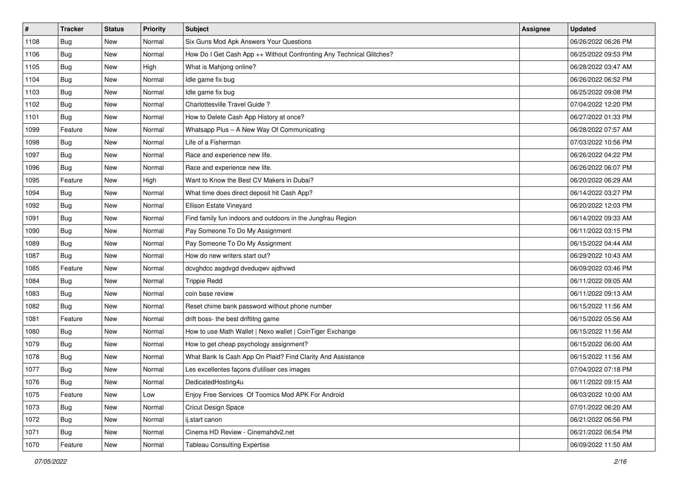| $\vert$ # | <b>Tracker</b> | <b>Status</b> | <b>Priority</b> | Subject                                                              | <b>Assignee</b> | <b>Updated</b>      |
|-----------|----------------|---------------|-----------------|----------------------------------------------------------------------|-----------------|---------------------|
| 1108      | <b>Bug</b>     | New           | Normal          | Six Guns Mod Apk Answers Your Questions                              |                 | 06/26/2022 06:26 PM |
| 1106      | Bug            | New           | Normal          | How Do I Get Cash App ++ Without Confronting Any Technical Glitches? |                 | 06/25/2022 09:53 PM |
| 1105      | Bug            | New           | High            | What is Mahjong online?                                              |                 | 06/28/2022 03:47 AM |
| 1104      | Bug            | New           | Normal          | Idle game fix bug                                                    |                 | 06/26/2022 06:52 PM |
| 1103      | Bug            | New           | Normal          | Idle game fix bug                                                    |                 | 06/25/2022 09:08 PM |
| 1102      | <b>Bug</b>     | New           | Normal          | Charlottesville Travel Guide?                                        |                 | 07/04/2022 12:20 PM |
| 1101      | <b>Bug</b>     | New           | Normal          | How to Delete Cash App History at once?                              |                 | 06/27/2022 01:33 PM |
| 1099      | Feature        | New           | Normal          | Whatsapp Plus - A New Way Of Communicating                           |                 | 06/28/2022 07:57 AM |
| 1098      | <b>Bug</b>     | New           | Normal          | Life of a Fisherman                                                  |                 | 07/03/2022 10:56 PM |
| 1097      | Bug            | New           | Normal          | Race and experience new life.                                        |                 | 06/26/2022 04:22 PM |
| 1096      | Bug            | New           | Normal          | Race and experience new life.                                        |                 | 06/26/2022 06:07 PM |
| 1095      | Feature        | New           | High            | Want to Know the Best CV Makers in Dubai?                            |                 | 06/20/2022 06:29 AM |
| 1094      | Bug            | New           | Normal          | What time does direct deposit hit Cash App?                          |                 | 06/14/2022 03:27 PM |
| 1092      | Bug            | New           | Normal          | Ellison Estate Vineyard                                              |                 | 06/20/2022 12:03 PM |
| 1091      | <b>Bug</b>     | New           | Normal          | Find family fun indoors and outdoors in the Jungfrau Region          |                 | 06/14/2022 09:33 AM |
| 1090      | <b>Bug</b>     | New           | Normal          | Pay Someone To Do My Assignment                                      |                 | 06/11/2022 03:15 PM |
| 1089      | <b>Bug</b>     | New           | Normal          | Pay Someone To Do My Assignment                                      |                 | 06/15/2022 04:44 AM |
| 1087      | Bug            | New           | Normal          | How do new writers start out?                                        |                 | 06/29/2022 10:43 AM |
| 1085      | Feature        | New           | Normal          | dcvghdcc asgdvgd dveduqwv ajdhvwd                                    |                 | 06/09/2022 03:46 PM |
| 1084      | <b>Bug</b>     | New           | Normal          | <b>Trippie Redd</b>                                                  |                 | 06/11/2022 09:05 AM |
| 1083      | <b>Bug</b>     | New           | Normal          | coin base review                                                     |                 | 06/11/2022 09:13 AM |
| 1082      | <b>Bug</b>     | New           | Normal          | Reset chime bank password without phone number                       |                 | 06/15/2022 11:56 AM |
| 1081      | Feature        | New           | Normal          | drift boss- the best driftitng game                                  |                 | 06/15/2022 05:56 AM |
| 1080      | <b>Bug</b>     | New           | Normal          | How to use Math Wallet   Nexo wallet   CoinTiger Exchange            |                 | 06/15/2022 11:56 AM |
| 1079      | <b>Bug</b>     | New           | Normal          | How to get cheap psychology assignment?                              |                 | 06/15/2022 06:00 AM |
| 1078      | <b>Bug</b>     | New           | Normal          | What Bank Is Cash App On Plaid? Find Clarity And Assistance          |                 | 06/15/2022 11:56 AM |
| 1077      | <b>Bug</b>     | New           | Normal          | Les excellentes façons d'utiliser ces images                         |                 | 07/04/2022 07:18 PM |
| 1076      | I Bug          | New           | Normal          | DedicatedHosting4u                                                   |                 | 06/11/2022 09:15 AM |
| 1075      | Feature        | New           | Low             | Enjoy Free Services Of Toomics Mod APK For Android                   |                 | 06/03/2022 10:00 AM |
| 1073      | <b>Bug</b>     | New           | Normal          | <b>Cricut Design Space</b>                                           |                 | 07/01/2022 06:20 AM |
| 1072      | Bug            | New           | Normal          | ij.start canon                                                       |                 | 06/21/2022 06:56 PM |
| 1071      | <b>Bug</b>     | New           | Normal          | Cinema HD Review - Cinemahdv2.net                                    |                 | 06/21/2022 06:54 PM |
| 1070      | Feature        | New           | Normal          | <b>Tableau Consulting Expertise</b>                                  |                 | 06/09/2022 11:50 AM |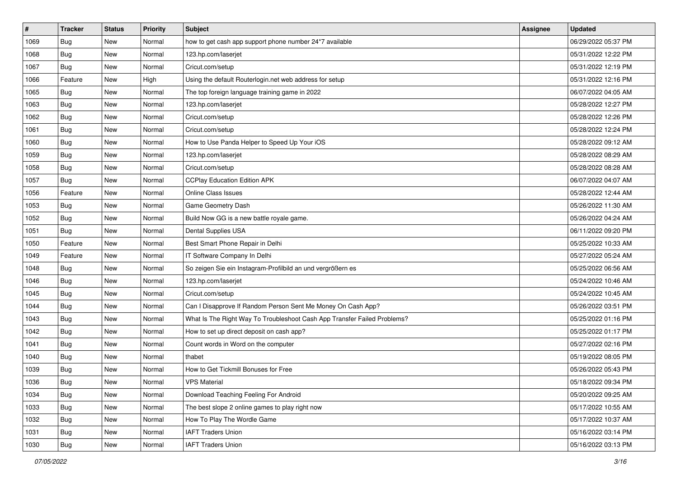| $\vert$ # | <b>Tracker</b> | <b>Status</b> | <b>Priority</b> | Subject                                                                  | <b>Assignee</b> | <b>Updated</b>      |
|-----------|----------------|---------------|-----------------|--------------------------------------------------------------------------|-----------------|---------------------|
| 1069      | <b>Bug</b>     | New           | Normal          | how to get cash app support phone number 24*7 available                  |                 | 06/29/2022 05:37 PM |
| 1068      | <b>Bug</b>     | New           | Normal          | 123.hp.com/laserjet                                                      |                 | 05/31/2022 12:22 PM |
| 1067      | Bug            | New           | Normal          | Cricut.com/setup                                                         |                 | 05/31/2022 12:19 PM |
| 1066      | Feature        | New           | High            | Using the default Routerlogin.net web address for setup                  |                 | 05/31/2022 12:16 PM |
| 1065      | Bug            | New           | Normal          | The top foreign language training game in 2022                           |                 | 06/07/2022 04:05 AM |
| 1063      | <b>Bug</b>     | New           | Normal          | 123.hp.com/laserjet                                                      |                 | 05/28/2022 12:27 PM |
| 1062      | <b>Bug</b>     | New           | Normal          | Cricut.com/setup                                                         |                 | 05/28/2022 12:26 PM |
| 1061      | Bug            | New           | Normal          | Cricut.com/setup                                                         |                 | 05/28/2022 12:24 PM |
| 1060      | <b>Bug</b>     | New           | Normal          | How to Use Panda Helper to Speed Up Your iOS                             |                 | 05/28/2022 09:12 AM |
| 1059      | <b>Bug</b>     | New           | Normal          | 123.hp.com/laserjet                                                      |                 | 05/28/2022 08:29 AM |
| 1058      | Bug            | New           | Normal          | Cricut.com/setup                                                         |                 | 05/28/2022 08:28 AM |
| 1057      | <b>Bug</b>     | New           | Normal          | <b>CCPlay Education Edition APK</b>                                      |                 | 06/07/2022 04:07 AM |
| 1056      | Feature        | New           | Normal          | <b>Online Class Issues</b>                                               |                 | 05/28/2022 12:44 AM |
| 1053      | <b>Bug</b>     | New           | Normal          | Game Geometry Dash                                                       |                 | 05/26/2022 11:30 AM |
| 1052      | Bug            | New           | Normal          | Build Now GG is a new battle royale game.                                |                 | 05/26/2022 04:24 AM |
| 1051      | <b>Bug</b>     | New           | Normal          | Dental Supplies USA                                                      |                 | 06/11/2022 09:20 PM |
| 1050      | Feature        | New           | Normal          | Best Smart Phone Repair in Delhi                                         |                 | 05/25/2022 10:33 AM |
| 1049      | Feature        | New           | Normal          | IT Software Company In Delhi                                             |                 | 05/27/2022 05:24 AM |
| 1048      | Bug            | New           | Normal          | So zeigen Sie ein Instagram-Profilbild an und vergrößern es              |                 | 05/25/2022 06:56 AM |
| 1046      | <b>Bug</b>     | New           | Normal          | 123.hp.com/laserjet                                                      |                 | 05/24/2022 10:46 AM |
| 1045      | Bug            | New           | Normal          | Cricut.com/setup                                                         |                 | 05/24/2022 10:45 AM |
| 1044      | <b>Bug</b>     | New           | Normal          | Can I Disapprove If Random Person Sent Me Money On Cash App?             |                 | 05/26/2022 03:51 PM |
| 1043      | <b>Bug</b>     | New           | Normal          | What Is The Right Way To Troubleshoot Cash App Transfer Failed Problems? |                 | 05/25/2022 01:16 PM |
| 1042      | <b>Bug</b>     | New           | Normal          | How to set up direct deposit on cash app?                                |                 | 05/25/2022 01:17 PM |
| 1041      | <b>Bug</b>     | New           | Normal          | Count words in Word on the computer                                      |                 | 05/27/2022 02:16 PM |
| 1040      | <b>Bug</b>     | New           | Normal          | thabet                                                                   |                 | 05/19/2022 08:05 PM |
| 1039      | <b>Bug</b>     | New           | Normal          | How to Get Tickmill Bonuses for Free                                     |                 | 05/26/2022 05:43 PM |
| 1036      | <b>Bug</b>     | New           | Normal          | <b>VPS Material</b>                                                      |                 | 05/18/2022 09:34 PM |
| 1034      | <b>Bug</b>     | New           | Normal          | Download Teaching Feeling For Android                                    |                 | 05/20/2022 09:25 AM |
| 1033      | <b>Bug</b>     | New           | Normal          | The best slope 2 online games to play right now                          |                 | 05/17/2022 10:55 AM |
| 1032      | <b>Bug</b>     | New           | Normal          | How To Play The Wordle Game                                              |                 | 05/17/2022 10:37 AM |
| 1031      | <b>Bug</b>     | New           | Normal          | <b>IAFT Traders Union</b>                                                |                 | 05/16/2022 03:14 PM |
| 1030      | <b>Bug</b>     | New           | Normal          | <b>IAFT Traders Union</b>                                                |                 | 05/16/2022 03:13 PM |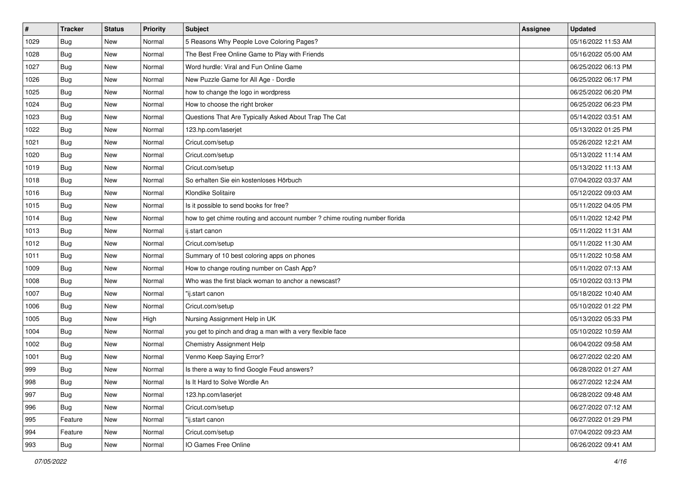| $\vert$ # | <b>Tracker</b> | <b>Status</b> | <b>Priority</b> | <b>Subject</b>                                                             | <b>Assignee</b> | <b>Updated</b>      |
|-----------|----------------|---------------|-----------------|----------------------------------------------------------------------------|-----------------|---------------------|
| 1029      | <b>Bug</b>     | New           | Normal          | 5 Reasons Why People Love Coloring Pages?                                  |                 | 05/16/2022 11:53 AM |
| 1028      | <b>Bug</b>     | New           | Normal          | The Best Free Online Game to Play with Friends                             |                 | 05/16/2022 05:00 AM |
| 1027      | Bug            | New           | Normal          | Word hurdle: Viral and Fun Online Game                                     |                 | 06/25/2022 06:13 PM |
| 1026      | <b>Bug</b>     | New           | Normal          | New Puzzle Game for All Age - Dordle                                       |                 | 06/25/2022 06:17 PM |
| 1025      | Bug            | New           | Normal          | how to change the logo in wordpress                                        |                 | 06/25/2022 06:20 PM |
| 1024      | <b>Bug</b>     | New           | Normal          | How to choose the right broker                                             |                 | 06/25/2022 06:23 PM |
| 1023      | Bug            | New           | Normal          | Questions That Are Typically Asked About Trap The Cat                      |                 | 05/14/2022 03:51 AM |
| 1022      | <b>Bug</b>     | New           | Normal          | 123.hp.com/laserjet                                                        |                 | 05/13/2022 01:25 PM |
| 1021      | <b>Bug</b>     | New           | Normal          | Cricut.com/setup                                                           |                 | 05/26/2022 12:21 AM |
| 1020      | <b>Bug</b>     | New           | Normal          | Cricut.com/setup                                                           |                 | 05/13/2022 11:14 AM |
| 1019      | <b>Bug</b>     | New           | Normal          | Cricut.com/setup                                                           |                 | 05/13/2022 11:13 AM |
| 1018      | <b>Bug</b>     | New           | Normal          | So erhalten Sie ein kostenloses Hörbuch                                    |                 | 07/04/2022 03:37 AM |
| 1016      | Bug            | New           | Normal          | Klondike Solitaire                                                         |                 | 05/12/2022 09:03 AM |
| 1015      | Bug            | New           | Normal          | Is it possible to send books for free?                                     |                 | 05/11/2022 04:05 PM |
| 1014      | Bug            | New           | Normal          | how to get chime routing and account number ? chime routing number florida |                 | 05/11/2022 12:42 PM |
| 1013      | Bug            | New           | Normal          | ij.start canon                                                             |                 | 05/11/2022 11:31 AM |
| 1012      | <b>Bug</b>     | New           | Normal          | Cricut.com/setup                                                           |                 | 05/11/2022 11:30 AM |
| 1011      | Bug            | New           | Normal          | Summary of 10 best coloring apps on phones                                 |                 | 05/11/2022 10:58 AM |
| 1009      | Bug            | New           | Normal          | How to change routing number on Cash App?                                  |                 | 05/11/2022 07:13 AM |
| 1008      | Bug            | New           | Normal          | Who was the first black woman to anchor a newscast?                        |                 | 05/10/2022 03:13 PM |
| 1007      | Bug            | New           | Normal          | "ij.start canon                                                            |                 | 05/18/2022 10:40 AM |
| 1006      | <b>Bug</b>     | New           | Normal          | Cricut.com/setup                                                           |                 | 05/10/2022 01:22 PM |
| 1005      | Bug            | New           | High            | Nursing Assignment Help in UK                                              |                 | 05/13/2022 05:33 PM |
| 1004      | <b>Bug</b>     | New           | Normal          | you get to pinch and drag a man with a very flexible face                  |                 | 05/10/2022 10:59 AM |
| 1002      | Bug            | New           | Normal          | Chemistry Assignment Help                                                  |                 | 06/04/2022 09:58 AM |
| 1001      | <b>Bug</b>     | New           | Normal          | Venmo Keep Saying Error?                                                   |                 | 06/27/2022 02:20 AM |
| 999       | Bug            | New           | Normal          | Is there a way to find Google Feud answers?                                |                 | 06/28/2022 01:27 AM |
| 998       | I Bug          | New           | Normal          | Is It Hard to Solve Wordle An                                              |                 | 06/27/2022 12:24 AM |
| 997       | Bug            | New           | Normal          | 123.hp.com/laserjet                                                        |                 | 06/28/2022 09:48 AM |
| 996       | <b>Bug</b>     | New           | Normal          | Cricut.com/setup                                                           |                 | 06/27/2022 07:12 AM |
| 995       | Feature        | New           | Normal          | "ij.start canon                                                            |                 | 06/27/2022 01:29 PM |
| 994       | Feature        | New           | Normal          | Cricut.com/setup                                                           |                 | 07/04/2022 09:23 AM |
| 993       | <b>Bug</b>     | New           | Normal          | IO Games Free Online                                                       |                 | 06/26/2022 09:41 AM |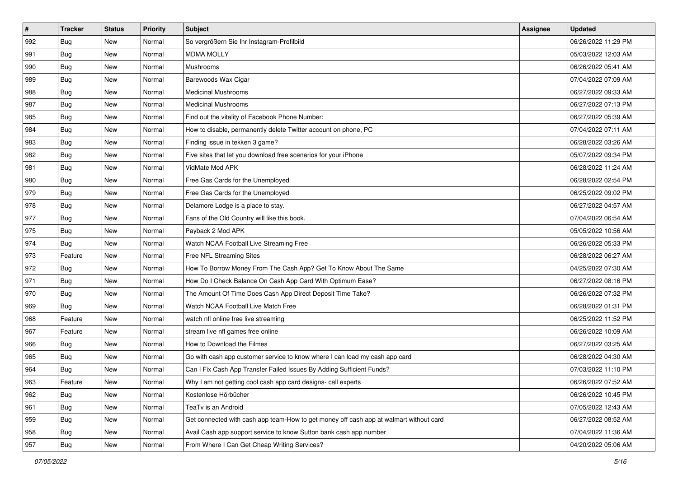| #   | <b>Tracker</b> | <b>Status</b> | <b>Priority</b> | <b>Subject</b>                                                                         | <b>Assignee</b> | <b>Updated</b>      |
|-----|----------------|---------------|-----------------|----------------------------------------------------------------------------------------|-----------------|---------------------|
| 992 | <b>Bug</b>     | New           | Normal          | So vergrößern Sie Ihr Instagram-Profilbild                                             |                 | 06/26/2022 11:29 PM |
| 991 | Bug            | New           | Normal          | <b>MDMA MOLLY</b>                                                                      |                 | 05/03/2022 12:03 AM |
| 990 | <b>Bug</b>     | New           | Normal          | Mushrooms                                                                              |                 | 06/26/2022 05:41 AM |
| 989 | <b>Bug</b>     | New           | Normal          | Barewoods Wax Cigar                                                                    |                 | 07/04/2022 07:09 AM |
| 988 | Bug            | New           | Normal          | <b>Medicinal Mushrooms</b>                                                             |                 | 06/27/2022 09:33 AM |
| 987 | <b>Bug</b>     | New           | Normal          | <b>Medicinal Mushrooms</b>                                                             |                 | 06/27/2022 07:13 PM |
| 985 | <b>Bug</b>     | New           | Normal          | Find out the vitality of Facebook Phone Number:                                        |                 | 06/27/2022 05:39 AM |
| 984 | Bug            | New           | Normal          | How to disable, permanently delete Twitter account on phone, PC                        |                 | 07/04/2022 07:11 AM |
| 983 | Bug            | New           | Normal          | Finding issue in tekken 3 game?                                                        |                 | 06/28/2022 03:26 AM |
| 982 | Bug            | New           | Normal          | Five sites that let you download free scenarios for your iPhone                        |                 | 05/07/2022 09:34 PM |
| 981 | Bug            | New           | Normal          | VidMate Mod APK                                                                        |                 | 06/28/2022 11:24 AM |
| 980 | Bug            | New           | Normal          | Free Gas Cards for the Unemployed                                                      |                 | 06/28/2022 02:54 PM |
| 979 | Bug            | New           | Normal          | Free Gas Cards for the Unemployed                                                      |                 | 06/25/2022 09:02 PM |
| 978 | <b>Bug</b>     | New           | Normal          | Delamore Lodge is a place to stay.                                                     |                 | 06/27/2022 04:57 AM |
| 977 | Bug            | New           | Normal          | Fans of the Old Country will like this book.                                           |                 | 07/04/2022 06:54 AM |
| 975 | <b>Bug</b>     | New           | Normal          | Payback 2 Mod APK                                                                      |                 | 05/05/2022 10:56 AM |
| 974 | <b>Bug</b>     | New           | Normal          | Watch NCAA Football Live Streaming Free                                                |                 | 06/26/2022 05:33 PM |
| 973 | Feature        | New           | Normal          | Free NFL Streaming Sites                                                               |                 | 06/28/2022 06:27 AM |
| 972 | <b>Bug</b>     | New           | Normal          | How To Borrow Money From The Cash App? Get To Know About The Same                      |                 | 04/25/2022 07:30 AM |
| 971 | <b>Bug</b>     | New           | Normal          | How Do I Check Balance On Cash App Card With Optimum Ease?                             |                 | 06/27/2022 08:16 PM |
| 970 | <b>Bug</b>     | New           | Normal          | The Amount Of Time Does Cash App Direct Deposit Time Take?                             |                 | 06/26/2022 07:32 PM |
| 969 | Bug            | New           | Normal          | Watch NCAA Football Live Match Free                                                    |                 | 06/28/2022 01:31 PM |
| 968 | Feature        | New           | Normal          | watch nfl online free live streaming                                                   |                 | 06/25/2022 11:52 PM |
| 967 | Feature        | New           | Normal          | stream live nfl games free online                                                      |                 | 06/26/2022 10:09 AM |
| 966 | Bug            | New           | Normal          | How to Download the Filmes                                                             |                 | 06/27/2022 03:25 AM |
| 965 | <b>Bug</b>     | New           | Normal          | Go with cash app customer service to know where I can load my cash app card            |                 | 06/28/2022 04:30 AM |
| 964 | <b>Bug</b>     | New           | Normal          | Can I Fix Cash App Transfer Failed Issues By Adding Sufficient Funds?                  |                 | 07/03/2022 11:10 PM |
| 963 | Feature        | New           | Normal          | Why I am not getting cool cash app card designs- call experts                          |                 | 06/26/2022 07:52 AM |
| 962 | Bug            | New           | Normal          | Kostenlose Hörbücher                                                                   |                 | 06/26/2022 10:45 PM |
| 961 | <b>Bug</b>     | New           | Normal          | TeaTv is an Android                                                                    |                 | 07/05/2022 12:43 AM |
| 959 | <b>Bug</b>     | New           | Normal          | Get connected with cash app team-How to get money off cash app at walmart without card |                 | 06/27/2022 08:52 AM |
| 958 | <b>Bug</b>     | New           | Normal          | Avail Cash app support service to know Sutton bank cash app number                     |                 | 07/04/2022 11:36 AM |
| 957 | <b>Bug</b>     | New           | Normal          | From Where I Can Get Cheap Writing Services?                                           |                 | 04/20/2022 05:06 AM |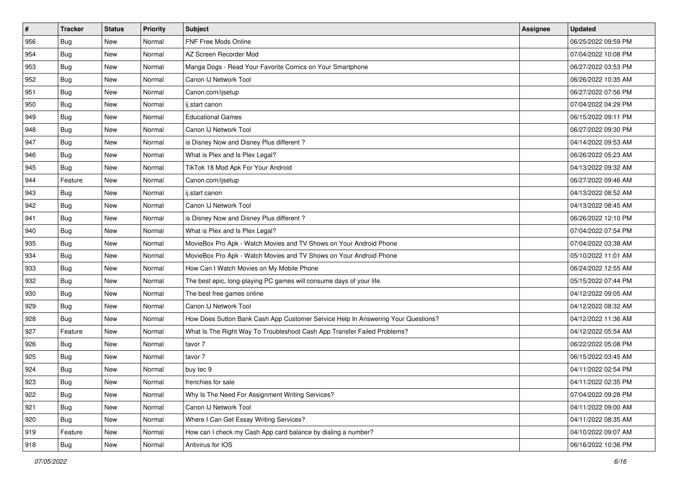| $\vert$ # | <b>Tracker</b> | <b>Status</b> | <b>Priority</b> | Subject                                                                          | <b>Assignee</b> | <b>Updated</b>      |
|-----------|----------------|---------------|-----------------|----------------------------------------------------------------------------------|-----------------|---------------------|
| 956       | <b>Bug</b>     | New           | Normal          | FNF Free Mods Online                                                             |                 | 06/25/2022 09:59 PM |
| 954       | Bug            | New           | Normal          | AZ Screen Recorder Mod                                                           |                 | 07/04/2022 10:08 PM |
| 953       | Bug            | New           | Normal          | Manga Dogs - Read Your Favorite Comics on Your Smartphone                        |                 | 06/27/2022 03:53 PM |
| 952       | <b>Bug</b>     | New           | Normal          | Canon IJ Network Tool                                                            |                 | 06/26/2022 10:35 AM |
| 951       | Bug            | New           | Normal          | Canon.com/ijsetup                                                                |                 | 06/27/2022 07:56 PM |
| 950       | <b>Bug</b>     | New           | Normal          | ij.start canon                                                                   |                 | 07/04/2022 04:29 PM |
| 949       | <b>Bug</b>     | New           | Normal          | <b>Educational Games</b>                                                         |                 | 06/15/2022 09:11 PM |
| 948       | Bug            | New           | Normal          | Canon IJ Network Tool                                                            |                 | 06/27/2022 09:30 PM |
| 947       | <b>Bug</b>     | New           | Normal          | is Disney Now and Disney Plus different?                                         |                 | 04/14/2022 09:53 AM |
| 946       | Bug            | New           | Normal          | What is Plex and Is Plex Legal?                                                  |                 | 06/26/2022 05:23 AM |
| 945       | <b>Bug</b>     | New           | Normal          | TikTok 18 Mod Apk For Your Android                                               |                 | 04/13/2022 09:32 AM |
| 944       | Feature        | New           | Normal          | Canon.com/ijsetup                                                                |                 | 06/27/2022 09:46 AM |
| 943       | Bug            | New           | Normal          | ij.start canon                                                                   |                 | 04/13/2022 08:52 AM |
| 942       | Bug            | New           | Normal          | Canon IJ Network Tool                                                            |                 | 04/13/2022 08:45 AM |
| 941       | <b>Bug</b>     | New           | Normal          | is Disney Now and Disney Plus different?                                         |                 | 06/26/2022 12:10 PM |
| 940       | <b>Bug</b>     | New           | Normal          | What is Plex and Is Plex Legal?                                                  |                 | 07/04/2022 07:54 PM |
| 935       | <b>Bug</b>     | New           | Normal          | MovieBox Pro Apk - Watch Movies and TV Shows on Your Android Phone               |                 | 07/04/2022 03:38 AM |
| 934       | Bug            | New           | Normal          | MovieBox Pro Apk - Watch Movies and TV Shows on Your Android Phone               |                 | 05/10/2022 11:01 AM |
| 933       | Bug            | New           | Normal          | How Can I Watch Movies on My Mobile Phone                                        |                 | 06/24/2022 12:55 AM |
| 932       | <b>Bug</b>     | New           | Normal          | The best epic, long-playing PC games will consume days of your life.             |                 | 05/15/2022 07:44 PM |
| 930       | Bug            | New           | Normal          | The best free games online                                                       |                 | 04/12/2022 09:05 AM |
| 929       | <b>Bug</b>     | New           | Normal          | Canon IJ Network Tool                                                            |                 | 04/12/2022 08:32 AM |
| 928       | Bug            | New           | Normal          | How Does Sutton Bank Cash App Customer Service Help In Answering Your Questions? |                 | 04/12/2022 11:36 AM |
| 927       | Feature        | New           | Normal          | What Is The Right Way To Troubleshoot Cash App Transfer Failed Problems?         |                 | 04/12/2022 05:54 AM |
| 926       | Bug            | New           | Normal          | tavor 7                                                                          |                 | 06/22/2022 05:08 PM |
| 925       | Bug            | New           | Normal          | tavor 7                                                                          |                 | 06/15/2022 03:45 AM |
| 924       | <b>Bug</b>     | New           | Normal          | buy tec 9                                                                        |                 | 04/11/2022 02:54 PM |
| 923       | I Bug          | New           | Normal          | frenchies for sale                                                               |                 | 04/11/2022 02:35 PM |
| 922       | Bug            | New           | Normal          | Why Is The Need For Assignment Writing Services?                                 |                 | 07/04/2022 09:28 PM |
| 921       | <b>Bug</b>     | New           | Normal          | Canon IJ Network Tool                                                            |                 | 04/11/2022 09:00 AM |
| 920       | Bug            | New           | Normal          | Where I Can Get Essay Writing Services?                                          |                 | 04/11/2022 08:35 AM |
| 919       | Feature        | New           | Normal          | How can I check my Cash App card balance by dialing a number?                    |                 | 04/10/2022 09:07 AM |
| 918       | <b>Bug</b>     | New           | Normal          | Antivirus for IOS                                                                |                 | 06/16/2022 10:36 PM |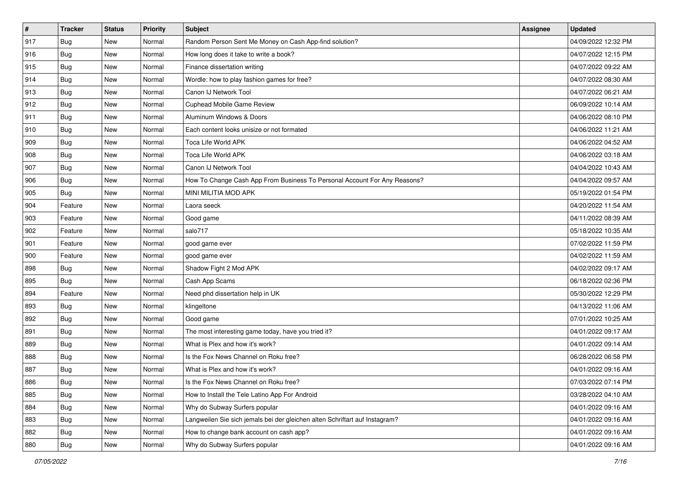| $\vert$ # | <b>Tracker</b> | <b>Status</b> | <b>Priority</b> | Subject                                                                     | Assignee | <b>Updated</b>      |
|-----------|----------------|---------------|-----------------|-----------------------------------------------------------------------------|----------|---------------------|
| 917       | <b>Bug</b>     | New           | Normal          | Random Person Sent Me Money on Cash App-find solution?                      |          | 04/09/2022 12:32 PM |
| 916       | Bug            | New           | Normal          | How long does it take to write a book?                                      |          | 04/07/2022 12:15 PM |
| 915       | Bug            | New           | Normal          | Finance dissertation writing                                                |          | 04/07/2022 09:22 AM |
| 914       | <b>Bug</b>     | New           | Normal          | Wordle: how to play fashion games for free?                                 |          | 04/07/2022 08:30 AM |
| 913       | Bug            | New           | Normal          | Canon IJ Network Tool                                                       |          | 04/07/2022 06:21 AM |
| 912       | Bug            | New           | Normal          | Cuphead Mobile Game Review                                                  |          | 06/09/2022 10:14 AM |
| 911       | Bug            | New           | Normal          | Aluminum Windows & Doors                                                    |          | 04/06/2022 08:10 PM |
| 910       | <b>Bug</b>     | New           | Normal          | Each content looks unisize or not formated                                  |          | 04/06/2022 11:21 AM |
| 909       | Bug            | New           | Normal          | Toca Life World APK                                                         |          | 04/06/2022 04:52 AM |
| 908       | <b>Bug</b>     | New           | Normal          | Toca Life World APK                                                         |          | 04/06/2022 03:18 AM |
| 907       | Bug            | New           | Normal          | Canon IJ Network Tool                                                       |          | 04/04/2022 10:43 AM |
| 906       | <b>Bug</b>     | New           | Normal          | How To Change Cash App From Business To Personal Account For Any Reasons?   |          | 04/04/2022 09:57 AM |
| 905       | Bug            | New           | Normal          | <b>MINI MILITIA MOD APK</b>                                                 |          | 05/19/2022 01:54 PM |
| 904       | Feature        | New           | Normal          | Laora seeck                                                                 |          | 04/20/2022 11:54 AM |
| 903       | Feature        | New           | Normal          | Good game                                                                   |          | 04/11/2022 08:39 AM |
| 902       | Feature        | New           | Normal          | salo717                                                                     |          | 05/18/2022 10:35 AM |
| 901       | Feature        | New           | Normal          | good game ever                                                              |          | 07/02/2022 11:59 PM |
| 900       | Feature        | New           | Normal          | good game ever                                                              |          | 04/02/2022 11:59 AM |
| 898       | <b>Bug</b>     | New           | Normal          | Shadow Fight 2 Mod APK                                                      |          | 04/02/2022 09:17 AM |
| 895       | Bug            | New           | Normal          | Cash App Scams                                                              |          | 06/18/2022 02:36 PM |
| 894       | Feature        | New           | Normal          | Need phd dissertation help in UK                                            |          | 05/30/2022 12:29 PM |
| 893       | Bug            | New           | Normal          | klingeltone                                                                 |          | 04/13/2022 11:06 AM |
| 892       | Bug            | New           | Normal          | Good game                                                                   |          | 07/01/2022 10:25 AM |
| 891       | <b>Bug</b>     | New           | Normal          | The most interesting game today, have you tried it?                         |          | 04/01/2022 09:17 AM |
| 889       | Bug            | New           | Normal          | What is Plex and how it's work?                                             |          | 04/01/2022 09:14 AM |
| 888       | Bug            | New           | Normal          | Is the Fox News Channel on Roku free?                                       |          | 06/28/2022 06:58 PM |
| 887       | <b>Bug</b>     | New           | Normal          | What is Plex and how it's work?                                             |          | 04/01/2022 09:16 AM |
| 886       | <b>Bug</b>     | New           | Normal          | Is the Fox News Channel on Roku free?                                       |          | 07/03/2022 07:14 PM |
| 885       | <b>Bug</b>     | New           | Normal          | How to Install the Tele Latino App For Android                              |          | 03/28/2022 04:10 AM |
| 884       | <b>Bug</b>     | New           | Normal          | Why do Subway Surfers popular                                               |          | 04/01/2022 09:16 AM |
| 883       | <b>Bug</b>     | New           | Normal          | Langweilen Sie sich jemals bei der gleichen alten Schriftart auf Instagram? |          | 04/01/2022 09:16 AM |
| 882       | <b>Bug</b>     | New           | Normal          | How to change bank account on cash app?                                     |          | 04/01/2022 09:16 AM |
| 880       | <b>Bug</b>     | New           | Normal          | Why do Subway Surfers popular                                               |          | 04/01/2022 09:16 AM |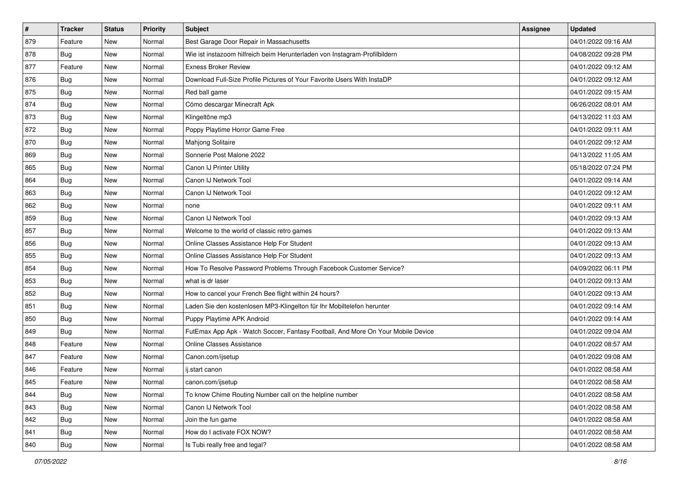| $\vert$ # | <b>Tracker</b> | <b>Status</b> | <b>Priority</b> | Subject                                                                          | <b>Assignee</b> | <b>Updated</b>      |
|-----------|----------------|---------------|-----------------|----------------------------------------------------------------------------------|-----------------|---------------------|
| 879       | Feature        | New           | Normal          | Best Garage Door Repair in Massachusetts                                         |                 | 04/01/2022 09:16 AM |
| 878       | Bug            | New           | Normal          | Wie ist instazoom hilfreich beim Herunterladen von Instagram-Profilbildern       |                 | 04/08/2022 09:28 PM |
| 877       | Feature        | New           | Normal          | <b>Exness Broker Review</b>                                                      |                 | 04/01/2022 09:12 AM |
| 876       | <b>Bug</b>     | New           | Normal          | Download Full-Size Profile Pictures of Your Favorite Users With InstaDP          |                 | 04/01/2022 09:12 AM |
| 875       | <b>Bug</b>     | New           | Normal          | Red ball game                                                                    |                 | 04/01/2022 09:15 AM |
| 874       | <b>Bug</b>     | New           | Normal          | Cómo descargar Minecraft Apk                                                     |                 | 06/26/2022 08:01 AM |
| 873       | Bug            | New           | Normal          | Klingeltöne mp3                                                                  |                 | 04/13/2022 11:03 AM |
| 872       | <b>Bug</b>     | New           | Normal          | Poppy Playtime Horror Game Free                                                  |                 | 04/01/2022 09:11 AM |
| 870       | Bug            | New           | Normal          | Mahjong Solitaire                                                                |                 | 04/01/2022 09:12 AM |
| 869       | <b>Bug</b>     | New           | Normal          | Sonnerie Post Malone 2022                                                        |                 | 04/13/2022 11:05 AM |
| 865       | Bug            | New           | Normal          | Canon IJ Printer Utility                                                         |                 | 05/18/2022 07:24 PM |
| 864       | <b>Bug</b>     | New           | Normal          | Canon IJ Network Tool                                                            |                 | 04/01/2022 09:14 AM |
| 863       | Bug            | New           | Normal          | Canon IJ Network Tool                                                            |                 | 04/01/2022 09:12 AM |
| 862       | <b>Bug</b>     | New           | Normal          | none                                                                             |                 | 04/01/2022 09:11 AM |
| 859       | <b>Bug</b>     | New           | Normal          | Canon IJ Network Tool                                                            |                 | 04/01/2022 09:13 AM |
| 857       | Bug            | New           | Normal          | Welcome to the world of classic retro games                                      |                 | 04/01/2022 09:13 AM |
| 856       | <b>Bug</b>     | New           | Normal          | Online Classes Assistance Help For Student                                       |                 | 04/01/2022 09:13 AM |
| 855       | Bug            | New           | Normal          | Online Classes Assistance Help For Student                                       |                 | 04/01/2022 09:13 AM |
| 854       | <b>Bug</b>     | New           | Normal          | How To Resolve Password Problems Through Facebook Customer Service?              |                 | 04/09/2022 06:11 PM |
| 853       | <b>Bug</b>     | New           | Normal          | what is dr laser                                                                 |                 | 04/01/2022 09:13 AM |
| 852       | <b>Bug</b>     | New           | Normal          | How to cancel your French Bee flight within 24 hours?                            |                 | 04/01/2022 09:13 AM |
| 851       | Bug            | New           | Normal          | Laden Sie den kostenlosen MP3-Klingelton für Ihr Mobiltelefon herunter           |                 | 04/01/2022 09:14 AM |
| 850       | Bug            | New           | Normal          | Puppy Playtime APK Android                                                       |                 | 04/01/2022 09:14 AM |
| 849       | <b>Bug</b>     | New           | Normal          | FutEmax App Apk - Watch Soccer, Fantasy Football, And More On Your Mobile Device |                 | 04/01/2022 09:04 AM |
| 848       | Feature        | New           | Normal          | Online Classes Assistance                                                        |                 | 04/01/2022 08:57 AM |
| 847       | Feature        | New           | Normal          | Canon.com/ijsetup                                                                |                 | 04/01/2022 09:08 AM |
| 846       | Feature        | New           | Normal          | ij.start canon                                                                   |                 | 04/01/2022 08:58 AM |
| 845       | Feature        | New           | Normal          | canon.com/ijsetup                                                                |                 | 04/01/2022 08:58 AM |
| 844       | <b>Bug</b>     | New           | Normal          | To know Chime Routing Number call on the helpline number                         |                 | 04/01/2022 08:58 AM |
| 843       | <b>Bug</b>     | New           | Normal          | Canon IJ Network Tool                                                            |                 | 04/01/2022 08:58 AM |
| 842       | Bug            | New           | Normal          | Join the fun game                                                                |                 | 04/01/2022 08:58 AM |
| 841       | <b>Bug</b>     | New           | Normal          | How do I activate FOX NOW?                                                       |                 | 04/01/2022 08:58 AM |
| 840       | <b>Bug</b>     | New           | Normal          | Is Tubi really free and legal?                                                   |                 | 04/01/2022 08:58 AM |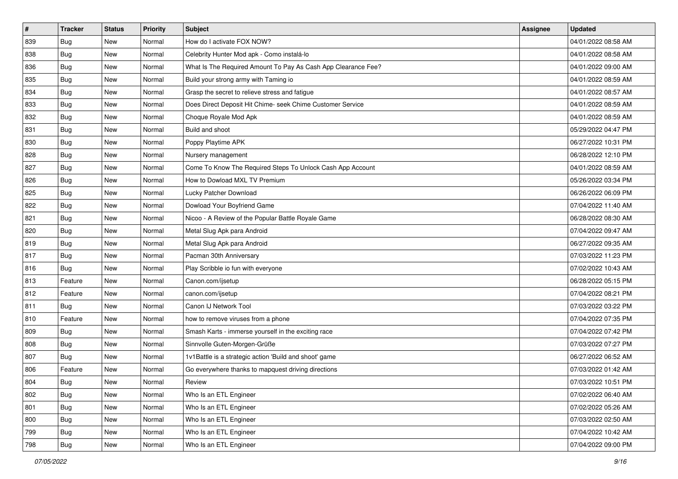| $\sharp$ | <b>Tracker</b> | <b>Status</b> | Priority | <b>Subject</b>                                                | Assignee | <b>Updated</b>      |
|----------|----------------|---------------|----------|---------------------------------------------------------------|----------|---------------------|
| 839      | <b>Bug</b>     | New           | Normal   | How do I activate FOX NOW?                                    |          | 04/01/2022 08:58 AM |
| 838      | <b>Bug</b>     | New           | Normal   | Celebrity Hunter Mod apk - Como instalá-lo                    |          | 04/01/2022 08:58 AM |
| 836      | Bug            | New           | Normal   | What Is The Required Amount To Pay As Cash App Clearance Fee? |          | 04/01/2022 09:00 AM |
| 835      | <b>Bug</b>     | New           | Normal   | Build your strong army with Taming io                         |          | 04/01/2022 08:59 AM |
| 834      | Bug            | New           | Normal   | Grasp the secret to relieve stress and fatigue                |          | 04/01/2022 08:57 AM |
| 833      | <b>Bug</b>     | New           | Normal   | Does Direct Deposit Hit Chime- seek Chime Customer Service    |          | 04/01/2022 08:59 AM |
| 832      | Bug            | New           | Normal   | Choque Royale Mod Apk                                         |          | 04/01/2022 08:59 AM |
| 831      | <b>Bug</b>     | New           | Normal   | Build and shoot                                               |          | 05/29/2022 04:47 PM |
| 830      | Bug            | New           | Normal   | Poppy Playtime APK                                            |          | 06/27/2022 10:31 PM |
| 828      | Bug            | New           | Normal   | Nursery management                                            |          | 06/28/2022 12:10 PM |
| 827      | <b>Bug</b>     | New           | Normal   | Come To Know The Required Steps To Unlock Cash App Account    |          | 04/01/2022 08:59 AM |
| 826      | <b>Bug</b>     | New           | Normal   | How to Dowload MXL TV Premium                                 |          | 05/26/2022 03:34 PM |
| 825      | Bug            | New           | Normal   | Lucky Patcher Download                                        |          | 06/26/2022 06:09 PM |
| 822      | Bug            | New           | Normal   | Dowload Your Boyfriend Game                                   |          | 07/04/2022 11:40 AM |
| 821      | Bug            | New           | Normal   | Nicoo - A Review of the Popular Battle Royale Game            |          | 06/28/2022 08:30 AM |
| 820      | Bug            | New           | Normal   | Metal Slug Apk para Android                                   |          | 07/04/2022 09:47 AM |
| 819      | Bug            | New           | Normal   | Metal Slug Apk para Android                                   |          | 06/27/2022 09:35 AM |
| 817      | Bug            | New           | Normal   | Pacman 30th Anniversary                                       |          | 07/03/2022 11:23 PM |
| 816      | Bug            | New           | Normal   | Play Scribble io fun with everyone                            |          | 07/02/2022 10:43 AM |
| 813      | Feature        | New           | Normal   | Canon.com/ijsetup                                             |          | 06/28/2022 05:15 PM |
| 812      | Feature        | New           | Normal   | canon.com/ijsetup                                             |          | 07/04/2022 08:21 PM |
| 811      | Bug            | New           | Normal   | Canon IJ Network Tool                                         |          | 07/03/2022 03:22 PM |
| 810      | Feature        | New           | Normal   | how to remove viruses from a phone                            |          | 07/04/2022 07:35 PM |
| 809      | Bug            | New           | Normal   | Smash Karts - immerse yourself in the exciting race           |          | 07/04/2022 07:42 PM |
| 808      | Bug            | New           | Normal   | Sinnvolle Guten-Morgen-Grüße                                  |          | 07/03/2022 07:27 PM |
| 807      | <b>Bug</b>     | New           | Normal   | 1v1Battle is a strategic action 'Build and shoot' game        |          | 06/27/2022 06:52 AM |
| 806      | Feature        | New           | Normal   | Go everywhere thanks to mapquest driving directions           |          | 07/03/2022 01:42 AM |
| 804      | Bug            | New           | Normal   | Review                                                        |          | 07/03/2022 10:51 PM |
| 802      | <b>Bug</b>     | New           | Normal   | Who Is an ETL Engineer                                        |          | 07/02/2022 06:40 AM |
| 801      | <b>Bug</b>     | New           | Normal   | Who Is an ETL Engineer                                        |          | 07/02/2022 05:26 AM |
| 800      | Bug            | New           | Normal   | Who Is an ETL Engineer                                        |          | 07/03/2022 02:50 AM |
| 799      | <b>Bug</b>     | New           | Normal   | Who Is an ETL Engineer                                        |          | 07/04/2022 10:42 AM |
| 798      | <b>Bug</b>     | New           | Normal   | Who Is an ETL Engineer                                        |          | 07/04/2022 09:00 PM |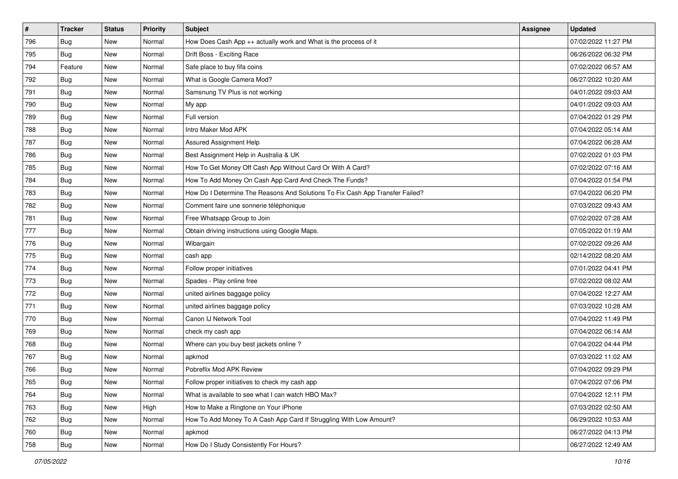| #   | <b>Tracker</b> | <b>Status</b> | <b>Priority</b> | Subject                                                                       | <b>Assignee</b> | <b>Updated</b>      |
|-----|----------------|---------------|-----------------|-------------------------------------------------------------------------------|-----------------|---------------------|
| 796 | <b>Bug</b>     | New           | Normal          | How Does Cash App ++ actually work and What is the process of it              |                 | 07/02/2022 11:27 PM |
| 795 | Bug            | New           | Normal          | Drift Boss - Exciting Race                                                    |                 | 06/26/2022 06:32 PM |
| 794 | Feature        | New           | Normal          | Safe place to buy fifa coins                                                  |                 | 07/02/2022 06:57 AM |
| 792 | <b>Bug</b>     | New           | Normal          | What is Google Camera Mod?                                                    |                 | 06/27/2022 10:20 AM |
| 791 | Bug            | New           | Normal          | Samsnung TV Plus is not working                                               |                 | 04/01/2022 09:03 AM |
| 790 | <b>Bug</b>     | New           | Normal          | My app                                                                        |                 | 04/01/2022 09:03 AM |
| 789 | <b>Bug</b>     | New           | Normal          | Full version                                                                  |                 | 07/04/2022 01:29 PM |
| 788 | Bug            | New           | Normal          | Intro Maker Mod APK                                                           |                 | 07/04/2022 05:14 AM |
| 787 | Bug            | New           | Normal          | Assured Assignment Help                                                       |                 | 07/04/2022 06:28 AM |
| 786 | <b>Bug</b>     | New           | Normal          | Best Assignment Help in Australia & UK                                        |                 | 07/02/2022 01:03 PM |
| 785 | Bug            | New           | Normal          | How To Get Money Off Cash App Without Card Or With A Card?                    |                 | 07/02/2022 07:16 AM |
| 784 | Bug            | New           | Normal          | How To Add Money On Cash App Card And Check The Funds?                        |                 | 07/04/2022 01:54 PM |
| 783 | Bug            | New           | Normal          | How Do I Determine The Reasons And Solutions To Fix Cash App Transfer Failed? |                 | 07/04/2022 06:20 PM |
| 782 | <b>Bug</b>     | New           | Normal          | Comment faire une sonnerie téléphonique                                       |                 | 07/03/2022 09:43 AM |
| 781 | <b>Bug</b>     | New           | Normal          | Free Whatsapp Group to Join                                                   |                 | 07/02/2022 07:28 AM |
| 777 | Bug            | New           | Normal          | Obtain driving instructions using Google Maps.                                |                 | 07/05/2022 01:19 AM |
| 776 | <b>Bug</b>     | New           | Normal          | Wibargain                                                                     |                 | 07/02/2022 09:26 AM |
| 775 | Bug            | New           | Normal          | cash app                                                                      |                 | 02/14/2022 08:20 AM |
| 774 | <b>Bug</b>     | New           | Normal          | Follow proper initiatives                                                     |                 | 07/01/2022 04:41 PM |
| 773 | <b>Bug</b>     | New           | Normal          | Spades - Play online free                                                     |                 | 07/02/2022 08:02 AM |
| 772 | <b>Bug</b>     | New           | Normal          | united airlines baggage policy                                                |                 | 07/04/2022 12:27 AM |
| 771 | <b>Bug</b>     | New           | Normal          | united airlines baggage policy                                                |                 | 07/03/2022 10:28 AM |
| 770 | Bug            | New           | Normal          | Canon IJ Network Tool                                                         |                 | 07/04/2022 11:49 PM |
| 769 | <b>Bug</b>     | New           | Normal          | check my cash app                                                             |                 | 07/04/2022 06:14 AM |
| 768 | <b>Bug</b>     | New           | Normal          | Where can you buy best jackets online?                                        |                 | 07/04/2022 04:44 PM |
| 767 | <b>Bug</b>     | New           | Normal          | apkmod                                                                        |                 | 07/03/2022 11:02 AM |
| 766 | Bug            | New           | Normal          | Pobreflix Mod APK Review                                                      |                 | 07/04/2022 09:29 PM |
| 765 | Bug            | New           | Normal          | Follow proper initiatives to check my cash app                                |                 | 07/04/2022 07:06 PM |
| 764 | <b>Bug</b>     | New           | Normal          | What is available to see what I can watch HBO Max?                            |                 | 07/04/2022 12:11 PM |
| 763 | <b>Bug</b>     | New           | High            | How to Make a Ringtone on Your iPhone                                         |                 | 07/03/2022 02:50 AM |
| 762 | Bug            | New           | Normal          | How To Add Money To A Cash App Card If Struggling With Low Amount?            |                 | 06/29/2022 10:53 AM |
| 760 | <b>Bug</b>     | New           | Normal          | apkmod                                                                        |                 | 06/27/2022 04:13 PM |
| 758 | <b>Bug</b>     | New           | Normal          | How Do I Study Consistently For Hours?                                        |                 | 06/27/2022 12:49 AM |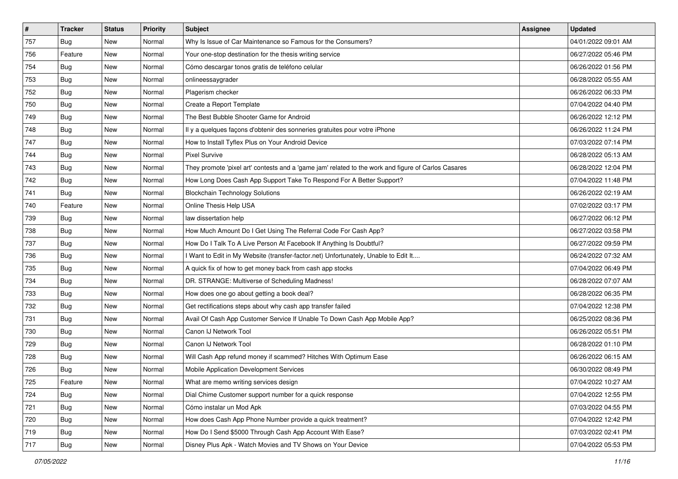| $\vert$ # | <b>Tracker</b> | <b>Status</b> | <b>Priority</b> | Subject                                                                                             | <b>Assignee</b> | <b>Updated</b>      |
|-----------|----------------|---------------|-----------------|-----------------------------------------------------------------------------------------------------|-----------------|---------------------|
| 757       | <b>Bug</b>     | New           | Normal          | Why Is Issue of Car Maintenance so Famous for the Consumers?                                        |                 | 04/01/2022 09:01 AM |
| 756       | Feature        | New           | Normal          | Your one-stop destination for the thesis writing service                                            |                 | 06/27/2022 05:46 PM |
| 754       | <b>Bug</b>     | New           | Normal          | Cómo descargar tonos gratis de teléfono celular                                                     |                 | 06/26/2022 01:56 PM |
| 753       | Bug            | New           | Normal          | onlineessaygrader                                                                                   |                 | 06/28/2022 05:55 AM |
| 752       | Bug            | New           | Normal          | Plagerism checker                                                                                   |                 | 06/26/2022 06:33 PM |
| 750       | <b>Bug</b>     | New           | Normal          | Create a Report Template                                                                            |                 | 07/04/2022 04:40 PM |
| 749       | <b>Bug</b>     | New           | Normal          | The Best Bubble Shooter Game for Android                                                            |                 | 06/26/2022 12:12 PM |
| 748       | <b>Bug</b>     | New           | Normal          | Il y a quelques façons d'obtenir des sonneries gratuites pour votre iPhone                          |                 | 06/26/2022 11:24 PM |
| 747       | <b>Bug</b>     | New           | Normal          | How to Install Tyflex Plus on Your Android Device                                                   |                 | 07/03/2022 07:14 PM |
| 744       | Bug            | New           | Normal          | <b>Pixel Survive</b>                                                                                |                 | 06/28/2022 05:13 AM |
| 743       | <b>Bug</b>     | New           | Normal          | They promote 'pixel art' contests and a 'game jam' related to the work and figure of Carlos Casares |                 | 06/28/2022 12:04 PM |
| 742       | Bug            | New           | Normal          | How Long Does Cash App Support Take To Respond For A Better Support?                                |                 | 07/04/2022 11:48 PM |
| 741       | <b>Bug</b>     | New           | Normal          | <b>Blockchain Technology Solutions</b>                                                              |                 | 06/26/2022 02:19 AM |
| 740       | Feature        | New           | Normal          | Online Thesis Help USA                                                                              |                 | 07/02/2022 03:17 PM |
| 739       | <b>Bug</b>     | New           | Normal          | law dissertation help                                                                               |                 | 06/27/2022 06:12 PM |
| 738       | <b>Bug</b>     | New           | Normal          | How Much Amount Do I Get Using The Referral Code For Cash App?                                      |                 | 06/27/2022 03:58 PM |
| 737       | <b>Bug</b>     | New           | Normal          | How Do I Talk To A Live Person At Facebook If Anything Is Doubtful?                                 |                 | 06/27/2022 09:59 PM |
| 736       | <b>Bug</b>     | New           | Normal          | I Want to Edit in My Website (transfer-factor.net) Unfortunately, Unable to Edit It                 |                 | 06/24/2022 07:32 AM |
| 735       | Bug            | New           | Normal          | A quick fix of how to get money back from cash app stocks                                           |                 | 07/04/2022 06:49 PM |
| 734       | <b>Bug</b>     | New           | Normal          | DR. STRANGE: Multiverse of Scheduling Madness!                                                      |                 | 06/28/2022 07:07 AM |
| 733       | Bug            | New           | Normal          | How does one go about getting a book deal?                                                          |                 | 06/28/2022 06:35 PM |
| 732       | Bug            | New           | Normal          | Get rectifications steps about why cash app transfer failed                                         |                 | 07/04/2022 12:38 PM |
| 731       | <b>Bug</b>     | New           | Normal          | Avail Of Cash App Customer Service If Unable To Down Cash App Mobile App?                           |                 | 06/25/2022 08:36 PM |
| 730       | <b>Bug</b>     | New           | Normal          | Canon IJ Network Tool                                                                               |                 | 06/26/2022 05:51 PM |
| 729       | Bug            | New           | Normal          | Canon IJ Network Tool                                                                               |                 | 06/28/2022 01:10 PM |
| 728       | <b>Bug</b>     | New           | Normal          | Will Cash App refund money if scammed? Hitches With Optimum Ease                                    |                 | 06/26/2022 06:15 AM |
| 726       | <b>Bug</b>     | New           | Normal          | Mobile Application Development Services                                                             |                 | 06/30/2022 08:49 PM |
| 725       | Feature        | New           | Normal          | What are memo writing services design                                                               |                 | 07/04/2022 10:27 AM |
| 724       | Bug            | New           | Normal          | Dial Chime Customer support number for a quick response                                             |                 | 07/04/2022 12:55 PM |
| 721       | <b>Bug</b>     | New           | Normal          | Cómo instalar un Mod Apk                                                                            |                 | 07/03/2022 04:55 PM |
| 720       | <b>Bug</b>     | New           | Normal          | How does Cash App Phone Number provide a quick treatment?                                           |                 | 07/04/2022 12:42 PM |
| 719       | <b>Bug</b>     | New           | Normal          | How Do I Send \$5000 Through Cash App Account With Ease?                                            |                 | 07/03/2022 02:41 PM |
| 717       | <b>Bug</b>     | New           | Normal          | Disney Plus Apk - Watch Movies and TV Shows on Your Device                                          |                 | 07/04/2022 05:53 PM |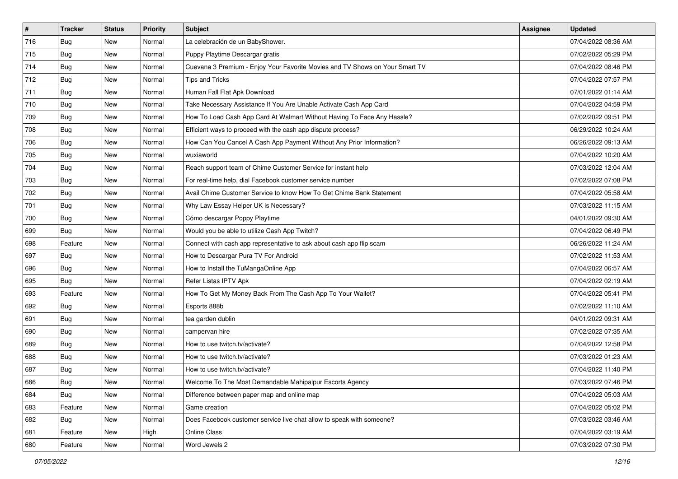| $\vert$ # | <b>Tracker</b> | <b>Status</b> | <b>Priority</b> | Subject                                                                      | Assignee | <b>Updated</b>      |
|-----------|----------------|---------------|-----------------|------------------------------------------------------------------------------|----------|---------------------|
| 716       | <b>Bug</b>     | New           | Normal          | La celebración de un BabyShower.                                             |          | 07/04/2022 08:36 AM |
| 715       | <b>Bug</b>     | New           | Normal          | Puppy Playtime Descargar gratis                                              |          | 07/02/2022 05:29 PM |
| 714       | Bug            | New           | Normal          | Cuevana 3 Premium - Enjoy Your Favorite Movies and TV Shows on Your Smart TV |          | 07/04/2022 08:46 PM |
| 712       | Bug            | New           | Normal          | Tips and Tricks                                                              |          | 07/04/2022 07:57 PM |
| 711       | Bug            | New           | Normal          | Human Fall Flat Apk Download                                                 |          | 07/01/2022 01:14 AM |
| 710       | <b>Bug</b>     | New           | Normal          | Take Necessary Assistance If You Are Unable Activate Cash App Card           |          | 07/04/2022 04:59 PM |
| 709       | Bug            | New           | Normal          | How To Load Cash App Card At Walmart Without Having To Face Any Hassle?      |          | 07/02/2022 09:51 PM |
| 708       | <b>Bug</b>     | New           | Normal          | Efficient ways to proceed with the cash app dispute process?                 |          | 06/29/2022 10:24 AM |
| 706       | <b>Bug</b>     | New           | Normal          | How Can You Cancel A Cash App Payment Without Any Prior Information?         |          | 06/26/2022 09:13 AM |
| 705       | <b>Bug</b>     | New           | Normal          | wuxiaworld                                                                   |          | 07/04/2022 10:20 AM |
| 704       | <b>Bug</b>     | New           | Normal          | Reach support team of Chime Customer Service for instant help                |          | 07/03/2022 12:04 AM |
| 703       | <b>Bug</b>     | New           | Normal          | For real-time help, dial Facebook customer service number                    |          | 07/02/2022 07:08 PM |
| 702       | <b>Bug</b>     | New           | Normal          | Avail Chime Customer Service to know How To Get Chime Bank Statement         |          | 07/04/2022 05:58 AM |
| 701       | <b>Bug</b>     | New           | Normal          | Why Law Essay Helper UK is Necessary?                                        |          | 07/03/2022 11:15 AM |
| 700       | <b>Bug</b>     | New           | Normal          | Cómo descargar Poppy Playtime                                                |          | 04/01/2022 09:30 AM |
| 699       | <b>Bug</b>     | New           | Normal          | Would you be able to utilize Cash App Twitch?                                |          | 07/04/2022 06:49 PM |
| 698       | Feature        | New           | Normal          | Connect with cash app representative to ask about cash app flip scam         |          | 06/26/2022 11:24 AM |
| 697       | Bug            | New           | Normal          | How to Descargar Pura TV For Android                                         |          | 07/02/2022 11:53 AM |
| 696       | Bug            | New           | Normal          | How to Install the TuMangaOnline App                                         |          | 07/04/2022 06:57 AM |
| 695       | <b>Bug</b>     | New           | Normal          | Refer Listas IPTV Apk                                                        |          | 07/04/2022 02:19 AM |
| 693       | Feature        | New           | Normal          | How To Get My Money Back From The Cash App To Your Wallet?                   |          | 07/04/2022 05:41 PM |
| 692       | Bug            | New           | Normal          | Esports 888b                                                                 |          | 07/02/2022 11:10 AM |
| 691       | Bug            | <b>New</b>    | Normal          | tea garden dublin                                                            |          | 04/01/2022 09:31 AM |
| 690       | <b>Bug</b>     | New           | Normal          | campervan hire                                                               |          | 07/02/2022 07:35 AM |
| 689       | Bug            | New           | Normal          | How to use twitch.tv/activate?                                               |          | 07/04/2022 12:58 PM |
| 688       | <b>Bug</b>     | New           | Normal          | How to use twitch.tv/activate?                                               |          | 07/03/2022 01:23 AM |
| 687       | <b>Bug</b>     | New           | Normal          | How to use twitch.tv/activate?                                               |          | 07/04/2022 11:40 PM |
| 686       | Bug            | New           | Normal          | Welcome To The Most Demandable Mahipalpur Escorts Agency                     |          | 07/03/2022 07:46 PM |
| 684       | <b>Bug</b>     | New           | Normal          | Difference between paper map and online map                                  |          | 07/04/2022 05:03 AM |
| 683       | Feature        | New           | Normal          | Game creation                                                                |          | 07/04/2022 05:02 PM |
| 682       | <b>Bug</b>     | New           | Normal          | Does Facebook customer service live chat allow to speak with someone?        |          | 07/03/2022 03:46 AM |
| 681       | Feature        | New           | High            | Online Class                                                                 |          | 07/04/2022 03:19 AM |
| 680       | Feature        | New           | Normal          | Word Jewels 2                                                                |          | 07/03/2022 07:30 PM |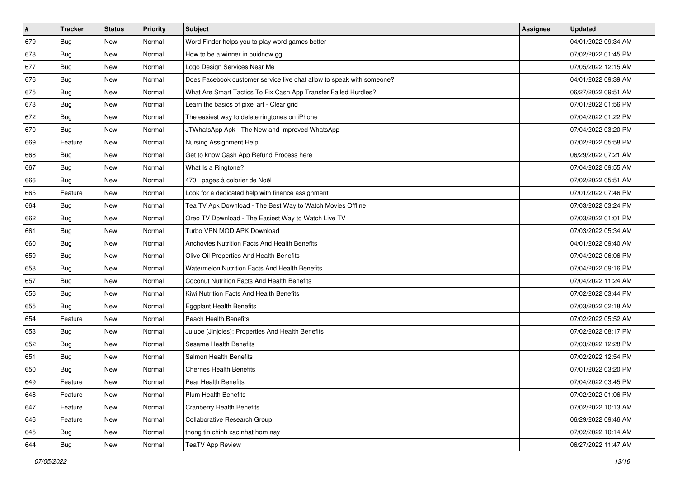| $\sharp$ | <b>Tracker</b> | <b>Status</b> | <b>Priority</b> | <b>Subject</b>                                                        | <b>Assignee</b> | <b>Updated</b>      |
|----------|----------------|---------------|-----------------|-----------------------------------------------------------------------|-----------------|---------------------|
| 679      | <b>Bug</b>     | New           | Normal          | Word Finder helps you to play word games better                       |                 | 04/01/2022 09:34 AM |
| 678      | <b>Bug</b>     | New           | Normal          | How to be a winner in buidnow gg                                      |                 | 07/02/2022 01:45 PM |
| 677      | Bug            | New           | Normal          | Logo Design Services Near Me                                          |                 | 07/05/2022 12:15 AM |
| 676      | <b>Bug</b>     | New           | Normal          | Does Facebook customer service live chat allow to speak with someone? |                 | 04/01/2022 09:39 AM |
| 675      | Bug            | New           | Normal          | What Are Smart Tactics To Fix Cash App Transfer Failed Hurdles?       |                 | 06/27/2022 09:51 AM |
| 673      | <b>Bug</b>     | New           | Normal          | Learn the basics of pixel art - Clear grid                            |                 | 07/01/2022 01:56 PM |
| 672      | Bug            | New           | Normal          | The easiest way to delete ringtones on iPhone                         |                 | 07/04/2022 01:22 PM |
| 670      | <b>Bug</b>     | New           | Normal          | JTWhatsApp Apk - The New and Improved WhatsApp                        |                 | 07/04/2022 03:20 PM |
| 669      | Feature        | New           | Normal          | Nursing Assignment Help                                               |                 | 07/02/2022 05:58 PM |
| 668      | Bug            | New           | Normal          | Get to know Cash App Refund Process here                              |                 | 06/29/2022 07:21 AM |
| 667      | <b>Bug</b>     | New           | Normal          | What Is a Ringtone?                                                   |                 | 07/04/2022 09:55 AM |
| 666      | <b>Bug</b>     | New           | Normal          | 470+ pages à colorier de Noël                                         |                 | 07/02/2022 05:51 AM |
| 665      | Feature        | New           | Normal          | Look for a dedicated help with finance assignment                     |                 | 07/01/2022 07:46 PM |
| 664      | Bug            | New           | Normal          | Tea TV Apk Download - The Best Way to Watch Movies Offline            |                 | 07/03/2022 03:24 PM |
| 662      | Bug            | New           | Normal          | Oreo TV Download - The Easiest Way to Watch Live TV                   |                 | 07/03/2022 01:01 PM |
| 661      | Bug            | New           | Normal          | Turbo VPN MOD APK Download                                            |                 | 07/03/2022 05:34 AM |
| 660      | <b>Bug</b>     | New           | Normal          | Anchovies Nutrition Facts And Health Benefits                         |                 | 04/01/2022 09:40 AM |
| 659      | Bug            | New           | Normal          | Olive Oil Properties And Health Benefits                              |                 | 07/04/2022 06:06 PM |
| 658      | <b>Bug</b>     | New           | Normal          | <b>Watermelon Nutrition Facts And Health Benefits</b>                 |                 | 07/04/2022 09:16 PM |
| 657      | Bug            | New           | Normal          | Coconut Nutrition Facts And Health Benefits                           |                 | 07/04/2022 11:24 AM |
| 656      | <b>Bug</b>     | New           | Normal          | Kiwi Nutrition Facts And Health Benefits                              |                 | 07/02/2022 03:44 PM |
| 655      | Bug            | New           | Normal          | <b>Eggplant Health Benefits</b>                                       |                 | 07/03/2022 02:18 AM |
| 654      | Feature        | New           | Normal          | Peach Health Benefits                                                 |                 | 07/02/2022 05:52 AM |
| 653      | <b>Bug</b>     | New           | Normal          | Jujube (Jinjoles): Properties And Health Benefits                     |                 | 07/02/2022 08:17 PM |
| 652      | Bug            | New           | Normal          | Sesame Health Benefits                                                |                 | 07/03/2022 12:28 PM |
| 651      | <b>Bug</b>     | New           | Normal          | Salmon Health Benefits                                                |                 | 07/02/2022 12:54 PM |
| 650      | <b>Bug</b>     | New           | Normal          | <b>Cherries Health Benefits</b>                                       |                 | 07/01/2022 03:20 PM |
| 649      | Feature        | New           | Normal          | Pear Health Benefits                                                  |                 | 07/04/2022 03:45 PM |
| 648      | Feature        | New           | Normal          | Plum Health Benefits                                                  |                 | 07/02/2022 01:06 PM |
| 647      | Feature        | New           | Normal          | <b>Cranberry Health Benefits</b>                                      |                 | 07/02/2022 10:13 AM |
| 646      | Feature        | New           | Normal          | Collaborative Research Group                                          |                 | 06/29/2022 09:46 AM |
| 645      | <b>Bug</b>     | New           | Normal          | thong tin chinh xac nhat hom nay                                      |                 | 07/02/2022 10:14 AM |
| 644      | <b>Bug</b>     | New           | Normal          | <b>TeaTV App Review</b>                                               |                 | 06/27/2022 11:47 AM |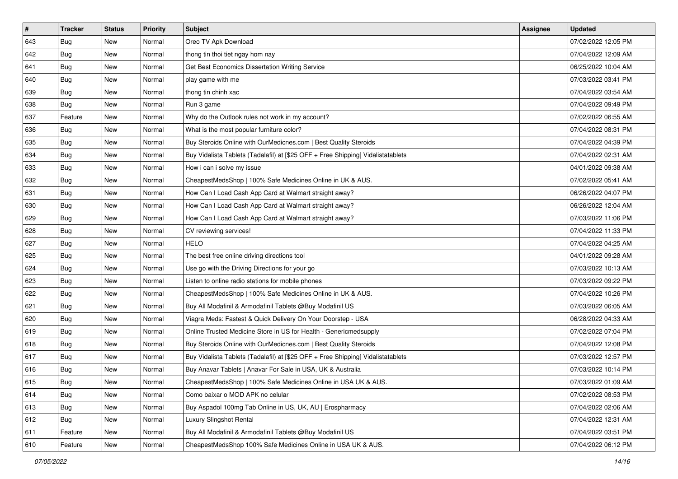| $\vert$ # | <b>Tracker</b> | <b>Status</b> | <b>Priority</b> | Subject                                                                          | <b>Assignee</b> | <b>Updated</b>      |
|-----------|----------------|---------------|-----------------|----------------------------------------------------------------------------------|-----------------|---------------------|
| 643       | <b>Bug</b>     | New           | Normal          | Oreo TV Apk Download                                                             |                 | 07/02/2022 12:05 PM |
| 642       | <b>Bug</b>     | New           | Normal          | thong tin thoi tiet ngay hom nay                                                 |                 | 07/04/2022 12:09 AM |
| 641       | <b>Bug</b>     | New           | Normal          | Get Best Economics Dissertation Writing Service                                  |                 | 06/25/2022 10:04 AM |
| 640       | Bug            | New           | Normal          | play game with me                                                                |                 | 07/03/2022 03:41 PM |
| 639       | Bug            | New           | Normal          | thong tin chinh xac                                                              |                 | 07/04/2022 03:54 AM |
| 638       | <b>Bug</b>     | New           | Normal          | Run 3 game                                                                       |                 | 07/04/2022 09:49 PM |
| 637       | Feature        | New           | Normal          | Why do the Outlook rules not work in my account?                                 |                 | 07/02/2022 06:55 AM |
| 636       | <b>Bug</b>     | New           | Normal          | What is the most popular furniture color?                                        |                 | 07/04/2022 08:31 PM |
| 635       | <b>Bug</b>     | New           | Normal          | Buy Steroids Online with OurMedicnes.com   Best Quality Steroids                 |                 | 07/04/2022 04:39 PM |
| 634       | Bug            | New           | Normal          | Buy Vidalista Tablets (Tadalafil) at [\$25 OFF + Free Shipping] Vidalistatablets |                 | 07/04/2022 02:31 AM |
| 633       | <b>Bug</b>     | New           | Normal          | How i can i solve my issue                                                       |                 | 04/01/2022 09:38 AM |
| 632       | Bug            | New           | Normal          | CheapestMedsShop   100% Safe Medicines Online in UK & AUS.                       |                 | 07/02/2022 05:41 AM |
| 631       | <b>Bug</b>     | New           | Normal          | How Can I Load Cash App Card at Walmart straight away?                           |                 | 06/26/2022 04:07 PM |
| 630       | <b>Bug</b>     | New           | Normal          | How Can I Load Cash App Card at Walmart straight away?                           |                 | 06/26/2022 12:04 AM |
| 629       | <b>Bug</b>     | New           | Normal          | How Can I Load Cash App Card at Walmart straight away?                           |                 | 07/03/2022 11:06 PM |
| 628       | <b>Bug</b>     | New           | Normal          | CV reviewing services!                                                           |                 | 07/04/2022 11:33 PM |
| 627       | <b>Bug</b>     | New           | Normal          | <b>HELO</b>                                                                      |                 | 07/04/2022 04:25 AM |
| 625       | Bug            | New           | Normal          | The best free online driving directions tool                                     |                 | 04/01/2022 09:28 AM |
| 624       | Bug            | New           | Normal          | Use go with the Driving Directions for your go                                   |                 | 07/03/2022 10:13 AM |
| 623       | Bug            | New           | Normal          | Listen to online radio stations for mobile phones                                |                 | 07/03/2022 09:22 PM |
| 622       | Bug            | New           | Normal          | CheapestMedsShop   100% Safe Medicines Online in UK & AUS.                       |                 | 07/04/2022 10:26 PM |
| 621       | <b>Bug</b>     | New           | Normal          | Buy All Modafinil & Armodafinil Tablets @Buy Modafinil US                        |                 | 07/03/2022 06:05 AM |
| 620       | <b>Bug</b>     | New           | Normal          | Viagra Meds: Fastest & Quick Delivery On Your Doorstep - USA                     |                 | 06/28/2022 04:33 AM |
| 619       | <b>Bug</b>     | New           | Normal          | Online Trusted Medicine Store in US for Health - Genericmedsupply                |                 | 07/02/2022 07:04 PM |
| 618       | <b>Bug</b>     | New           | Normal          | Buy Steroids Online with OurMedicnes.com   Best Quality Steroids                 |                 | 07/04/2022 12:08 PM |
| 617       | <b>Bug</b>     | New           | Normal          | Buy Vidalista Tablets (Tadalafil) at [\$25 OFF + Free Shipping] Vidalistatablets |                 | 07/03/2022 12:57 PM |
| 616       | <b>Bug</b>     | New           | Normal          | Buy Anavar Tablets   Anavar For Sale in USA, UK & Australia                      |                 | 07/03/2022 10:14 PM |
| 615       | Bug            | New           | Normal          | CheapestMedsShop   100% Safe Medicines Online in USA UK & AUS.                   |                 | 07/03/2022 01:09 AM |
| 614       | Bug            | New           | Normal          | Como baixar o MOD APK no celular                                                 |                 | 07/02/2022 08:53 PM |
| 613       | <b>Bug</b>     | New           | Normal          | Buy Aspadol 100mg Tab Online in US, UK, AU   Erospharmacy                        |                 | 07/04/2022 02:06 AM |
| 612       | Bug            | New           | Normal          | Luxury Slingshot Rental                                                          |                 | 07/04/2022 12:31 AM |
| 611       | Feature        | New           | Normal          | Buy All Modafinil & Armodafinil Tablets @Buy Modafinil US                        |                 | 07/04/2022 03:51 PM |
| 610       | Feature        | New           | Normal          | CheapestMedsShop 100% Safe Medicines Online in USA UK & AUS.                     |                 | 07/04/2022 06:12 PM |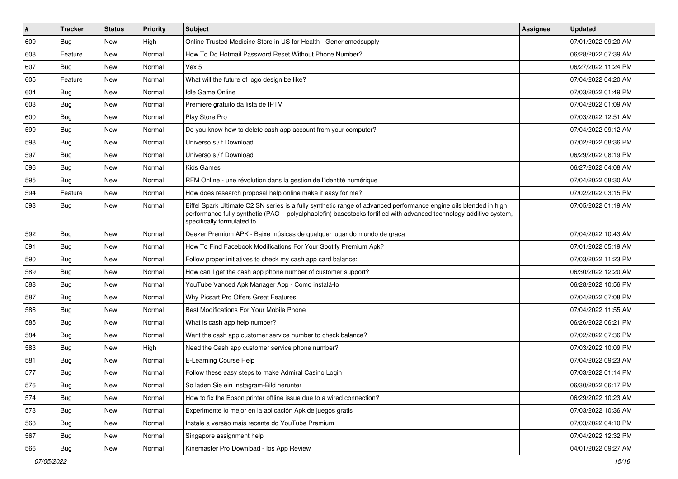| $\sharp$ | <b>Tracker</b> | <b>Status</b> | <b>Priority</b> | Subject                                                                                                                                                                                                                                                               | <b>Assignee</b> | <b>Updated</b>      |
|----------|----------------|---------------|-----------------|-----------------------------------------------------------------------------------------------------------------------------------------------------------------------------------------------------------------------------------------------------------------------|-----------------|---------------------|
| 609      | Bug            | New           | High            | Online Trusted Medicine Store in US for Health - Genericmedsupply                                                                                                                                                                                                     |                 | 07/01/2022 09:20 AM |
| 608      | Feature        | <b>New</b>    | Normal          | How To Do Hotmail Password Reset Without Phone Number?                                                                                                                                                                                                                |                 | 06/28/2022 07:39 AM |
| 607      | Bug            | New           | Normal          | Vex 5                                                                                                                                                                                                                                                                 |                 | 06/27/2022 11:24 PM |
| 605      | Feature        | <b>New</b>    | Normal          | What will the future of logo design be like?                                                                                                                                                                                                                          |                 | 07/04/2022 04:20 AM |
| 604      | Bug            | <b>New</b>    | Normal          | <b>Idle Game Online</b>                                                                                                                                                                                                                                               |                 | 07/03/2022 01:49 PM |
| 603      | <b>Bug</b>     | New           | Normal          | Premiere gratuito da lista de IPTV                                                                                                                                                                                                                                    |                 | 07/04/2022 01:09 AM |
| 600      | Bug            | <b>New</b>    | Normal          | Play Store Pro                                                                                                                                                                                                                                                        |                 | 07/03/2022 12:51 AM |
| 599      | Bug            | New           | Normal          | Do you know how to delete cash app account from your computer?                                                                                                                                                                                                        |                 | 07/04/2022 09:12 AM |
| 598      | <b>Bug</b>     | <b>New</b>    | Normal          | Universo s / f Download                                                                                                                                                                                                                                               |                 | 07/02/2022 08:36 PM |
| 597      | <b>Bug</b>     | <b>New</b>    | Normal          | Universo s / f Download                                                                                                                                                                                                                                               |                 | 06/29/2022 08:19 PM |
| 596      | <b>Bug</b>     | New           | Normal          | Kids Games                                                                                                                                                                                                                                                            |                 | 06/27/2022 04:08 AM |
| 595      | <b>Bug</b>     | New           | Normal          | RFM Online - une révolution dans la gestion de l'identité numérique                                                                                                                                                                                                   |                 | 07/04/2022 08:30 AM |
| 594      | Feature        | <b>New</b>    | Normal          | How does research proposal help online make it easy for me?                                                                                                                                                                                                           |                 | 07/02/2022 03:15 PM |
| 593      | <b>Bug</b>     | New           | Normal          | Eiffel Spark Ultimate C2 SN series is a fully synthetic range of advanced performance engine oils blended in high<br>performance fully synthetic (PAO - polyalphaolefin) basestocks fortified with advanced technology additive system,<br>specifically formulated to |                 | 07/05/2022 01:19 AM |
| 592      | Bug            | New           | Normal          | Deezer Premium APK - Baixe músicas de qualquer lugar do mundo de graça                                                                                                                                                                                                |                 | 07/04/2022 10:43 AM |
| 591      | Bug            | <b>New</b>    | Normal          | How To Find Facebook Modifications For Your Spotify Premium Apk?                                                                                                                                                                                                      |                 | 07/01/2022 05:19 AM |
| 590      | <b>Bug</b>     | New           | Normal          | Follow proper initiatives to check my cash app card balance:                                                                                                                                                                                                          |                 | 07/03/2022 11:23 PM |
| 589      | <b>Bug</b>     | <b>New</b>    | Normal          | How can I get the cash app phone number of customer support?                                                                                                                                                                                                          |                 | 06/30/2022 12:20 AM |
| 588      | Bug            | <b>New</b>    | Normal          | YouTube Vanced Apk Manager App - Como instalá-lo                                                                                                                                                                                                                      |                 | 06/28/2022 10:56 PM |
| 587      | <b>Bug</b>     | New           | Normal          | Why Picsart Pro Offers Great Features                                                                                                                                                                                                                                 |                 | 07/04/2022 07:08 PM |
| 586      | <b>Bug</b>     | <b>New</b>    | Normal          | Best Modifications For Your Mobile Phone                                                                                                                                                                                                                              |                 | 07/04/2022 11:55 AM |
| 585      | <b>Bug</b>     | New           | Normal          | What is cash app help number?                                                                                                                                                                                                                                         |                 | 06/26/2022 06:21 PM |
| 584      | <b>Bug</b>     | New           | Normal          | Want the cash app customer service number to check balance?                                                                                                                                                                                                           |                 | 07/02/2022 07:36 PM |
| 583      | Bug            | <b>New</b>    | High            | Need the Cash app customer service phone number?                                                                                                                                                                                                                      |                 | 07/03/2022 10:09 PM |
| 581      | <b>Bug</b>     | New           | Normal          | E-Learning Course Help                                                                                                                                                                                                                                                |                 | 07/04/2022 09:23 AM |
| 577      | <b>Bug</b>     | <b>New</b>    | Normal          | Follow these easy steps to make Admiral Casino Login                                                                                                                                                                                                                  |                 | 07/03/2022 01:14 PM |
| 576      | Bug            | New           | Normal          | So laden Sie ein Instagram-Bild herunter                                                                                                                                                                                                                              |                 | 06/30/2022 06:17 PM |
| 574      | <b>Bug</b>     | New           | Normal          | How to fix the Epson printer offline issue due to a wired connection?                                                                                                                                                                                                 |                 | 06/29/2022 10:23 AM |
| 573      | <b>Bug</b>     | New           | Normal          | Experimente lo mejor en la aplicación Apk de juegos gratis                                                                                                                                                                                                            |                 | 07/03/2022 10:36 AM |
| 568      | <b>Bug</b>     | New           | Normal          | Instale a versão mais recente do YouTube Premium                                                                                                                                                                                                                      |                 | 07/03/2022 04:10 PM |
| 567      | <b>Bug</b>     | New           | Normal          | Singapore assignment help                                                                                                                                                                                                                                             |                 | 07/04/2022 12:32 PM |
| 566      | <b>Bug</b>     | New           | Normal          | Kinemaster Pro Download - los App Review                                                                                                                                                                                                                              |                 | 04/01/2022 09:27 AM |